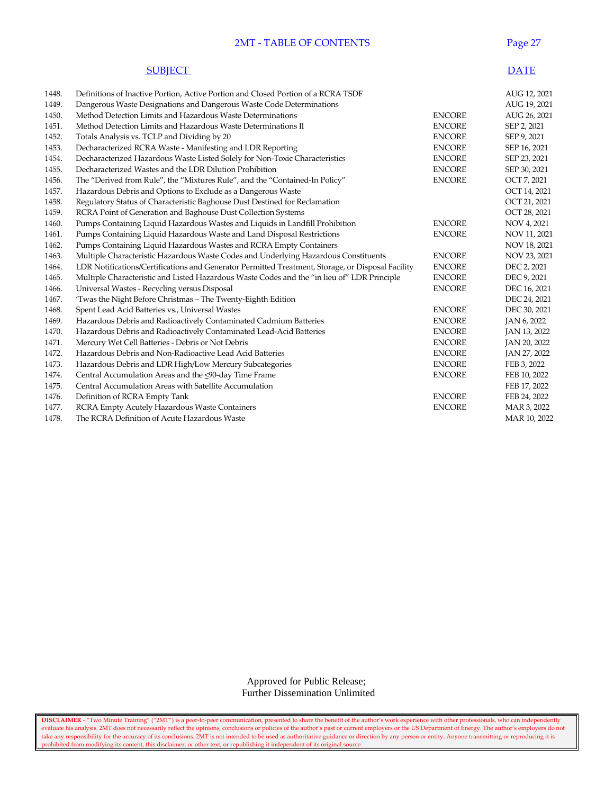#### 2MT - TABLE OF CONTENTS Page 27

| <b>SUBJECT</b> | <b>DATE</b> |
|----------------|-------------|
|----------------|-------------|

| 1448. | Definitions of Inactive Portion, Active Portion and Closed Portion of a RCRA TSDF                 |               | AUG 12, 2021 |
|-------|---------------------------------------------------------------------------------------------------|---------------|--------------|
| 1449. | Dangerous Waste Designations and Dangerous Waste Code Determinations                              |               | AUG 19, 2021 |
| 1450. | Method Detection Limits and Hazardous Waste Determinations                                        | <b>ENCORE</b> | AUG 26, 2021 |
| 1451. | Method Detection Limits and Hazardous Waste Determinations II                                     | <b>ENCORE</b> | SEP 2, 2021  |
| 1452. | Totals Analysis vs. TCLP and Dividing by 20                                                       | <b>ENCORE</b> | SEP 9, 2021  |
| 1453. | Decharacterized RCRA Waste - Manifesting and LDR Reporting                                        | <b>ENCORE</b> | SEP 16, 2021 |
| 1454. | Decharacterized Hazardous Waste Listed Solely for Non-Toxic Characteristics                       | <b>ENCORE</b> | SEP 23, 2021 |
| 1455. | Decharacterized Wastes and the LDR Dilution Prohibition                                           | <b>ENCORE</b> | SEP 30, 2021 |
| 1456. | The "Derived from Rule", the "Mixtures Rule", and the "Contained-In Policy"                       | <b>ENCORE</b> | OCT 7, 2021  |
| 1457. | Hazardous Debris and Options to Exclude as a Dangerous Waste                                      |               | OCT 14, 2021 |
| 1458. | Regulatory Status of Characteristic Baghouse Dust Destined for Reclamation                        |               | OCT 21, 2021 |
| 1459. | RCRA Point of Generation and Baghouse Dust Collection Systems                                     |               | OCT 28, 2021 |
| 1460. | Pumps Containing Liquid Hazardous Wastes and Liquids in Landfill Prohibition                      | <b>ENCORE</b> | NOV 4, 2021  |
| 1461. | Pumps Containing Liquid Hazardous Waste and Land Disposal Restrictions                            | <b>ENCORE</b> | NOV 11, 2021 |
| 1462. | Pumps Containing Liquid Hazardous Wastes and RCRA Empty Containers                                |               | NOV 18, 2021 |
| 1463. | Multiple Characteristic Hazardous Waste Codes and Underlying Hazardous Constituents               | <b>ENCORE</b> | NOV 23, 2021 |
| 1464. | LDR Notifications/Certifications and Generator Permitted Treatment, Storage, or Disposal Facility | <b>ENCORE</b> | DEC 2, 2021  |
| 1465. | Multiple Characteristic and Listed Hazardous Waste Codes and the "in lieu of" LDR Principle       | <b>ENCORE</b> | DEC 9, 2021  |
| 1466. | Universal Wastes - Recycling versus Disposal                                                      | <b>ENCORE</b> | DEC 16, 2021 |
| 1467. | 'Twas the Night Before Christmas - The Twenty-Eighth Edition                                      |               | DEC 24, 2021 |
| 1468. | Spent Lead Acid Batteries vs., Universal Wastes                                                   | <b>ENCORE</b> | DEC 30, 2021 |
| 1469. | Hazardous Debris and Radioactively Contaminated Cadmium Batteries                                 | <b>ENCORE</b> | JAN 6, 2022  |
| 1470. | Hazardous Debris and Radioactively Contaminated Lead-Acid Batteries                               | <b>ENCORE</b> | JAN 13, 2022 |
| 1471. | Mercury Wet Cell Batteries - Debris or Not Debris                                                 | <b>ENCORE</b> | JAN 20, 2022 |
| 1472. | Hazardous Debris and Non-Radioactive Lead Acid Batteries                                          | <b>ENCORE</b> | JAN 27, 2022 |
| 1473. | Hazardous Debris and LDR High/Low Mercury Subcategories                                           | <b>ENCORE</b> | FEB 3, 2022  |
| 1474. | Central Accumulation Areas and the <90-day Time Frame                                             | <b>ENCORE</b> | FEB 10, 2022 |
| 1475. | Central Accumulation Areas with Satellite Accumulation                                            |               | FEB 17, 2022 |
| 1476. | Definition of RCRA Empty Tank                                                                     | <b>ENCORE</b> | FEB 24, 2022 |
| 1477. | RCRA Empty Acutely Hazardous Waste Containers                                                     | <b>ENCORE</b> | MAR 3, 2022  |
| 1478. | The RCRA Definition of Acute Hazardous Waste                                                      |               | MAR 10, 2022 |

 Approved for Public Release; Further Dissemination Unlimited

**DISCLAIMER** - "Two Minute Training" ("2MT") is a peer-to-peer communication, presented to share the benefit of the author's work experience with other professionals, who can independently evaluate his analysis. 2MT does not necessarily reflect the opinions, conclusions or policies of the author's past or current employers or the US Department of Energy. The author's employers do not take any responsibility for the accuracy of its conclusions. 2MT is not intended to be used as authoritative guidance or direction by any person or entity. Anyone transmitting or reproducing it is prohibited from modifying its content, this disclaimer, or other text, or republishing it independent of its original source.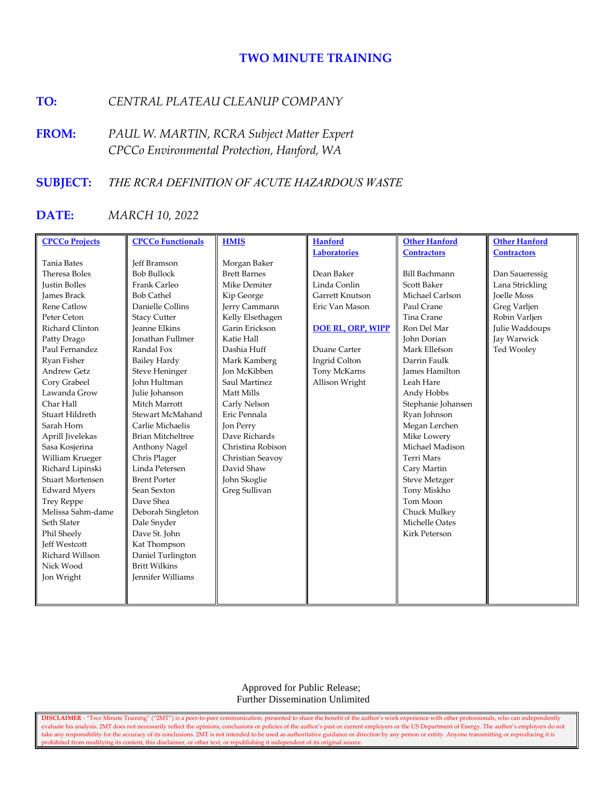# **TWO MINUTE TRAINING**

# **TO:** *CENTRAL PLATEAU CLEANUP COMPANY*

**FROM:** *PAUL W. MARTIN, RCRA Subject Matter Expert CPCCo Environmental Protection, Hanford, WA*

## **SUBJECT:** *THE RCRA DEFINITION OF ACUTE HAZARDOUS WASTE*

# **DATE:** *MARCH 10, 2022*

| <b>CPCCo Projects</b>   | <b>CPCCo Functionals</b> | <b>HMIS</b>         | <b>Hanford</b>           | <b>Other Hanford</b> | <b>Other Hanford</b> |
|-------------------------|--------------------------|---------------------|--------------------------|----------------------|----------------------|
|                         |                          |                     | <b>Laboratories</b>      | <b>Contractors</b>   | <b>Contractors</b>   |
| <b>Tania Bates</b>      | <b>Jeff Bramson</b>      | Morgan Baker        |                          |                      |                      |
| Theresa Boles           | <b>Bob Bullock</b>       | <b>Brett Barnes</b> | Dean Baker               | <b>Bill Bachmann</b> | Dan Saueressig       |
| <b>Justin Bolles</b>    | Frank Carleo             | Mike Demiter        | Linda Conlin             | <b>Scott Baker</b>   | Lana Strickling      |
| <b>James Brack</b>      | <b>Bob Cathel</b>        | Kip George          | Garrett Knutson          | Michael Carlson      | <b>Joelle Moss</b>   |
| <b>Rene Catlow</b>      | Danielle Collins         | Jerry Cammann       | Eric Van Mason           | Paul Crane           | Greg Varljen         |
| Peter Ceton             | <b>Stacy Cutter</b>      | Kelly Elsethagen    |                          | Tina Crane           | Robin Varljen        |
| Richard Clinton         | <b>Jeanne Elkins</b>     | Garin Erickson      | <b>DOE RL, ORP, WIPP</b> | Ron Del Mar          | Julie Waddoups       |
| Patty Drago             | <b>Ionathan Fullmer</b>  | Katie Hall          |                          | John Dorian          | Jay Warwick          |
| Paul Fernandez          | Randal Fox               | Dashia Huff         | Duane Carter             | Mark Ellefson        | Ted Wooley           |
| Ryan Fisher             | <b>Bailey Hardy</b>      | Mark Kamberg        | Ingrid Colton            | Darrin Faulk         |                      |
| <b>Andrew Getz</b>      | <b>Steve Heninger</b>    | <b>Jon McKibben</b> | Tony McKarns             | James Hamilton       |                      |
| Cory Grabeel            | <b>John Hultman</b>      | Saul Martinez       | Allison Wright           | Leah Hare            |                      |
| Lawanda Grow            | Julie Johanson           | Matt Mills          |                          | Andy Hobbs           |                      |
| Char Hall               | Mitch Marrott            | Carly Nelson        |                          | Stephanie Johansen   |                      |
| Stuart Hildreth         | Stewart McMahand         | Eric Pennala        |                          | Ryan Johnson         |                      |
| Sarah Horn              | Carlie Michaelis         | Jon Perry           |                          | Megan Lerchen        |                      |
| Aprill Jivelekas        | <b>Brian Mitcheltree</b> | Dave Richards       |                          | Mike Lowery          |                      |
| Sasa Kosjerina          | Anthony Nagel            | Christina Robison   |                          | Michael Madison      |                      |
| William Krueger         | Chris Plager             | Christian Seavoy    |                          | <b>Terri Mars</b>    |                      |
| Richard Lipinski        | Linda Petersen           | David Shaw          |                          | Cary Martin          |                      |
| <b>Stuart Mortensen</b> | <b>Brent Porter</b>      | John Skoglie        |                          | <b>Steve Metzger</b> |                      |
| <b>Edward Myers</b>     | Sean Sexton              | Greg Sullivan       |                          | Tony Miskho          |                      |
| <b>Trey Reppe</b>       | Dave Shea                |                     |                          | Tom Moon             |                      |
| Melissa Sahm-dame       | Deborah Singleton        |                     |                          | Chuck Mulkey         |                      |
| Seth Slater             | Dale Snyder              |                     |                          | Michelle Oates       |                      |
| Phil Sheely             | Dave St. John            |                     |                          | <b>Kirk Peterson</b> |                      |
| <b>Jeff Westcott</b>    | Kat Thompson             |                     |                          |                      |                      |
| Richard Willson         | Daniel Turlington        |                     |                          |                      |                      |
| Nick Wood               | <b>Britt Wilkins</b>     |                     |                          |                      |                      |
| Jon Wright              | Jennifer Williams        |                     |                          |                      |                      |
|                         |                          |                     |                          |                      |                      |
|                         |                          |                     |                          |                      |                      |

 Approved for Public Release; Further Dissemination Unlimited

**DISCLAIMER** - "Two Minute Training" ("2MT") is a peer-to-peer communication, presented to share the benefit of the author's work experience with other professionals, who can independently evaluate his analysis. 2MT does not necessarily reflect the opinions, conclusions or policies of the author's past or current employers or the US Department of Energy. The author's employers do not take any responsibility for the accuracy of its conclusions. 2MT is not intended to be used as authoritative guidance or direction by any person or entity. Anyone transmitting or reproducing it is prohibited from modifying its content, this disclaimer, or other text, or republishing it independent of its original source.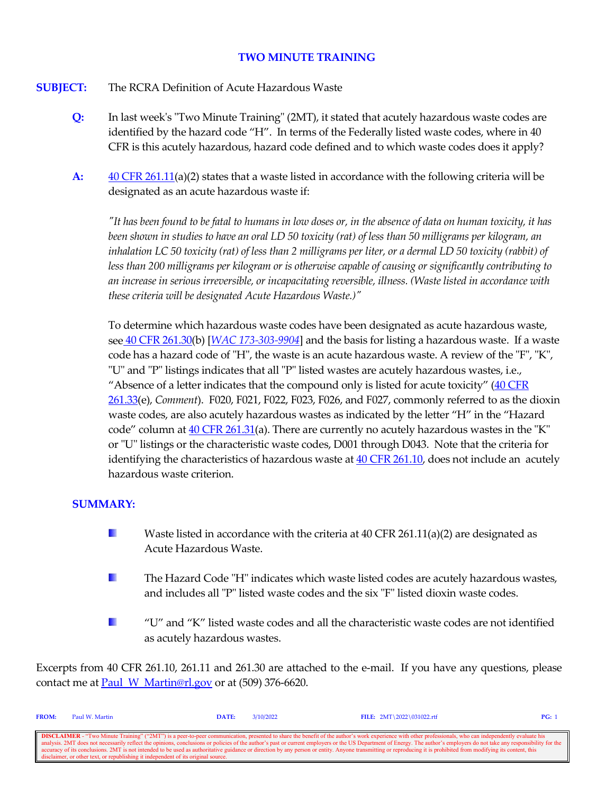# **TWO MINUTE TRAINING**

#### **SUBJECT:** The RCRA Definition of Acute Hazardous Waste

- **Q:** In last week's "Two Minute Training" (2MT), it stated that acutely hazardous waste codes are identified by the hazard code "H". In terms of the Federally listed waste codes, where in 40 CFR is this acutely hazardous, hazard code defined and to which waste codes does it apply?
- **A:** [40 CFR 261.11\(](https://www.govinfo.gov/content/pkg/CFR-2021-title40-vol28/xml/CFR-2021-title40-vol28-sec261-11.xml)a)(2) states that a waste listed in accordance with the following criteria will be designated as an acute hazardous waste if:

*"It has been found to be fatal to humans in low doses or, in the absence of data on human toxicity, it has been shown in studies to have an oral LD 50 toxicity (rat) of less than 50 milligrams per kilogram, an inhalation LC 50 toxicity (rat) of less than 2 milligrams per liter, or a dermal LD 50 toxicity (rabbit) of less than 200 milligrams per kilogram or is otherwise capable of causing or significantly contributing to an increase in serious irreversible, or incapacitating reversible, illness. (Waste listed in accordance with these criteria will be designated Acute Hazardous Waste.)"*

To determine which hazardous waste codes have been designated as acute hazardous waste, see [40 CFR 261.30\(](https://www.govinfo.gov/content/pkg/CFR-2021-title40-vol28/xml/CFR-2021-title40-vol28-sec261-30.xml)b) [*[WAC 173-303-9904](https://apps.leg.wa.gov/wac/default.aspx?cite=173-303-9904)*] and the basis for listing a hazardous waste. If a waste code has a hazard code of "H", the waste is an acute hazardous waste. A review of the "F", "K", "U" and "P" listings indicates that all "P" listed wastes are acutely hazardous wastes, i.e., "Absence of a letter indicates that the compound only is listed for acute toxicity"  $(40 \text{ CFR})$ [261.33\(](https://www.govinfo.gov/content/pkg/CFR-2021-title40-vol28/xml/CFR-2021-title40-vol28-sec261-33.xml)e), *Comment*). F020, F021, F022, F023, F026, and F027, commonly referred to as the dioxin waste codes, are also acutely hazardous wastes as indicated by the letter "H" in the "Hazard code" column at  $40$  CFR  $261.31$ (a). There are currently no acutely hazardous wastes in the "K" or "U" listings or the characteristic waste codes, D001 through D043. Note that the criteria for identifying the characteristics of hazardous waste a[t 40 CFR 261.10,](https://www.govinfo.gov/content/pkg/CFR-2021-title40-vol28/xml/CFR-2021-title40-vol28-sec261-10.xml) does not include an acutely hazardous waste criterion.

### **SUMMARY:**

- H. Waste listed in accordance with the criteria at 40 CFR 261.11(a)(2) are designated as Acute Hazardous Waste.
- **B** The Hazard Code "H" indicates which waste listed codes are acutely hazardous wastes, and includes all "P" listed waste codes and the six "F" listed dioxin waste codes.
- a ka "U" and "K" listed waste codes and all the characteristic waste codes are not identified as acutely hazardous wastes.

Excerpts from 40 CFR 261.10, 261.11 and 261.30 are attached to the e-mail. If you have any questions, please contact me at **Paul\_W\_Martin@rl.gov** or at (509) 376-6620.

| <b>FROM:</b> | Paul W. Martin                                                                    | DATE: | 3/10/2022 | FILE: $2MT \ 2022 \ 031022.rtf$                                                                                                                                                                                          | PG: 1 |
|--------------|-----------------------------------------------------------------------------------|-------|-----------|--------------------------------------------------------------------------------------------------------------------------------------------------------------------------------------------------------------------------|-------|
|              |                                                                                   |       |           |                                                                                                                                                                                                                          |       |
|              |                                                                                   |       |           | <b>DISCLAIMER</b> - "Two Minute Training" ("2MT") is a peer-to-peer communication, presented to share the benefit of the author's work experience with other professionals, who can independently evaluate his           |       |
|              |                                                                                   |       |           | analysis. 2MT does not necessarily reflect the opinions, conclusions or policies of the author's past or current employers or the US Department of Energy. The author's employers do not take any responsibility for the |       |
|              |                                                                                   |       |           | accuracy of its conclusions. 2MT is not intended to be used as authoritative guidance or direction by any person or entity. Anyone transmitting or reproducing it is prohibited from modifying its content, this         |       |
|              | disclaimer, or other text, or republishing it independent of its original source. |       |           |                                                                                                                                                                                                                          |       |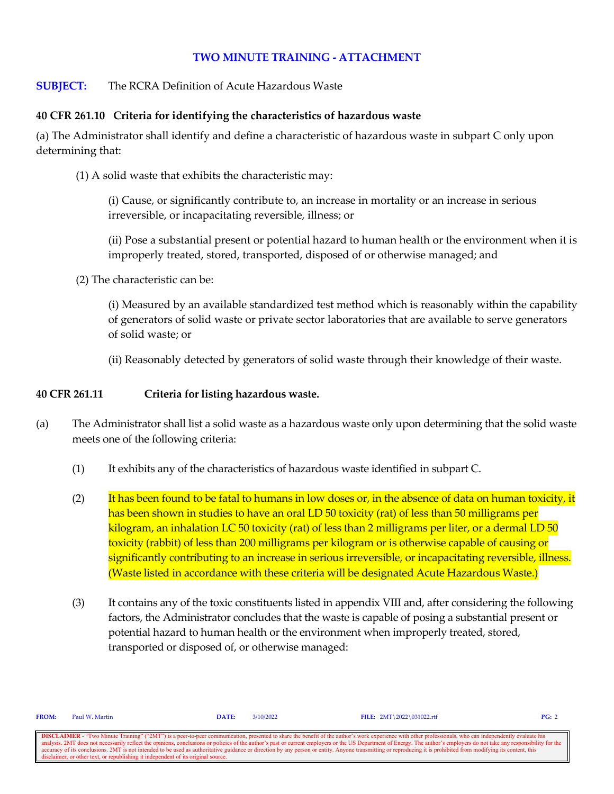# **TWO MINUTE TRAINING - ATTACHMENT**

# **SUBJECT:** The RCRA Definition of Acute Hazardous Waste

### **40 CFR 261.10 Criteria for identifying the characteristics of hazardous waste**

(a) The Administrator shall identify and define a characteristic of hazardous waste in subpart C only upon determining that:

(1) A solid waste that exhibits the characteristic may:

(i) Cause, or significantly contribute to, an increase in mortality or an increase in serious irreversible, or incapacitating reversible, illness; or

(ii) Pose a substantial present or potential hazard to human health or the environment when it is improperly treated, stored, transported, disposed of or otherwise managed; and

(2) The characteristic can be:

(i) Measured by an available standardized test method which is reasonably within the capability of generators of solid waste or private sector laboratories that are available to serve generators of solid waste; or

(ii) Reasonably detected by generators of solid waste through their knowledge of their waste.

#### **40 CFR 261.11 Criteria for listing hazardous waste.**

- (a) The Administrator shall list a solid waste as a hazardous waste only upon determining that the solid waste meets one of the following criteria:
	- (1) It exhibits any of the characteristics of hazardous waste identified in subpart C.
	- $(2)$  It has been found to be fatal to humans in low doses or, in the absence of data on human toxicity, it has been shown in studies to have an oral LD 50 toxicity (rat) of less than 50 milligrams per kilogram, an inhalation LC 50 toxicity (rat) of less than 2 milligrams per liter, or a dermal LD 50 toxicity (rabbit) of less than 200 milligrams per kilogram or is otherwise capable of causing or significantly contributing to an increase in serious irreversible, or incapacitating reversible, illness. (Waste listed in accordance with these criteria will be designated Acute Hazardous Waste.)
	- (3) It contains any of the toxic constituents listed in appendix VIII and, after considering the following factors, the Administrator concludes that the waste is capable of posing a substantial present or potential hazard to human health or the environment when improperly treated, stored, transported or disposed of, or otherwise managed:

| <b>FROM:</b> | Paul W. Martin                                                                    | $\mathbf{DATE:}$ | 3/10/2022 | FILE: $2MT \ 2022 \ 031022.rtf$                                                                                                                                                                                          | PG: 2 |
|--------------|-----------------------------------------------------------------------------------|------------------|-----------|--------------------------------------------------------------------------------------------------------------------------------------------------------------------------------------------------------------------------|-------|
|              |                                                                                   |                  |           |                                                                                                                                                                                                                          |       |
|              |                                                                                   |                  |           | <b>DISCLAIMER</b> - "Two Minute Training" ("2MT") is a peer-to-peer communication, presented to share the benefit of the author's work experience with other professionals, who can independently evaluate his           |       |
|              |                                                                                   |                  |           | analysis. 2MT does not necessarily reflect the opinions, conclusions or policies of the author's past or current employers or the US Department of Energy. The author's employers do not take any responsibility for the |       |
|              |                                                                                   |                  |           | accuracy of its conclusions. 2MT is not intended to be used as authoritative guidance or direction by any person or entity. Anyone transmitting or reproducing it is prohibited from modifying its content, this         |       |
|              | disclaimer, or other text, or republishing it independent of its original source. |                  |           |                                                                                                                                                                                                                          |       |